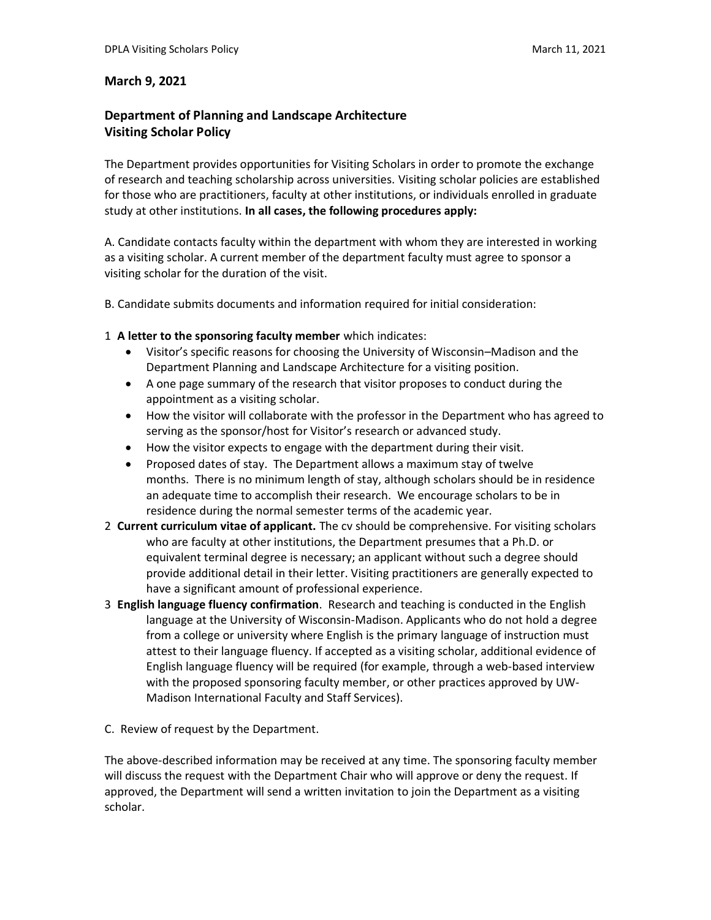## **March 9, 2021**

## **Department of Planning and Landscape Architecture Visiting Scholar Policy**

The Department provides opportunities for Visiting Scholars in order to promote the exchange of research and teaching scholarship across universities. Visiting scholar policies are established for those who are practitioners, faculty at other institutions, or individuals enrolled in graduate study at other institutions. **In all cases, the following procedures apply:**

A. Candidate contacts faculty within the department with whom they are interested in working as a visiting scholar. A current member of the department faculty must agree to sponsor a visiting scholar for the duration of the visit.

B. Candidate submits documents and information required for initial consideration:

## 1 **A letter to the sponsoring faculty member** which indicates:

- Visitor's specific reasons for choosing the University of Wisconsin–Madison and the Department Planning and Landscape Architecture for a visiting position.
- A one page summary of the research that visitor proposes to conduct during the appointment as a visiting scholar.
- How the visitor will collaborate with the professor in the Department who has agreed to serving as the sponsor/host for Visitor's research or advanced study.
- How the visitor expects to engage with the department during their visit.
- Proposed dates of stay. The Department allows a maximum stay of twelve months. There is no minimum length of stay, although scholars should be in residence an adequate time to accomplish their research. We encourage scholars to be in residence during the normal semester terms of the academic year.
- 2 **Current curriculum vitae of applicant.** The cv should be comprehensive. For visiting scholars who are faculty at other institutions, the Department presumes that a Ph.D. or equivalent terminal degree is necessary; an applicant without such a degree should provide additional detail in their letter. Visiting practitioners are generally expected to have a significant amount of professional experience.
- 3 **English language fluency confirmation**. Research and teaching is conducted in the English language at the University of Wisconsin-Madison. Applicants who do not hold a degree from a college or university where English is the primary language of instruction must attest to their language fluency. If accepted as a visiting scholar, additional evidence of English language fluency will be required (for example, through a web-based interview with the proposed sponsoring faculty member, or other practices approved by UW-Madison International Faculty and Staff Services).

C. Review of request by the Department.

The above-described information may be received at any time. The sponsoring faculty member will discuss the request with the Department Chair who will approve or deny the request. If approved, the Department will send a written invitation to join the Department as a visiting scholar.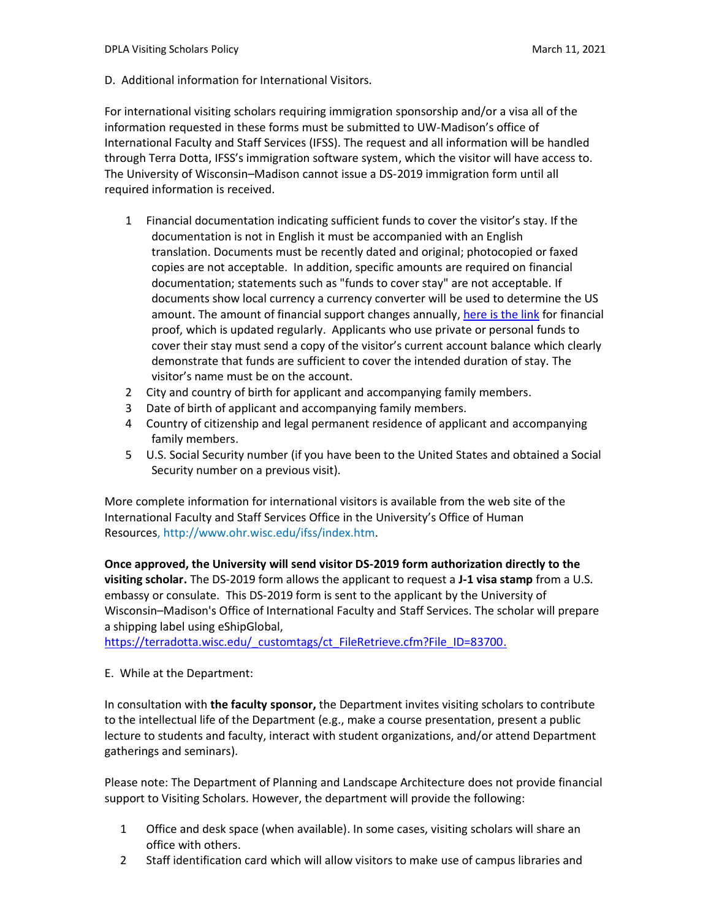D. Additional information for International Visitors.

For international visiting scholars requiring immigration sponsorship and/or a visa all of the information requested in [these forms](http://www.ohr.wisc.edu/ifss/imminfo/JScholar/DS_2019%20Application%20VR3%201.pdf) must be submitted to UW-Madison's office of International Faculty and Staff Services (IFSS). The request and all information will be handled through Terra Dotta, IFSS's immigration software system, which the visitor will have access to. The University of Wisconsin–Madison cannot issue a DS-2019 immigration form until all required information is received.

- 1 Financial documentation indicating sufficient funds to cover the visitor's stay. If the documentation is not in English it must be accompanied with an English translation. Documents must be recently dated and original; photocopied or faxed copies are not acceptable. In addition, specific amounts are required on financial documentation; statements such as "funds to cover stay" are not acceptable. If documents show local currency a currency converter will be used to determine the US amount. The amount of financial support changes annually, [here is the link](https://terradotta.wisc.edu/_customtags/ct_FileRetrieve.cfm?File_ID=0F0F7A77724F0A0106020D7774041C72097F0E140F0F00056E0803030107750B760301077B7B777003) for financial proof, which is updated regularly. Applicants who use private or personal funds to cover their stay must send a copy of the visitor's current account balance which clearly demonstrate that funds are sufficient to cover the intended duration of stay. The visitor's name must be on the account.
- 2 City and country of birth for applicant and accompanying family members.
- 3 Date of birth of applicant and accompanying family members.
- 4 Country of citizenship and legal permanent residence of applicant and accompanying family members.
- 5 U.S. Social Security number (if you have been to the United States and obtained a Social Security number on a previous visit).

More complete information for international visitors is available from the web site of the International Faculty and Staff Services Office in the University's Office of Human Resources, [http://www.ohr.wisc.edu/ifss/index.htm.](http://www.ohr.wisc.edu/ifss/index.htm)

**Once approved, the University will send visitor DS-2019 form authorization directly to the visiting scholar.** The DS-2019 form allows the applicant to request a **J-1 visa stamp** from a U.S. embassy or consulate. This DS-2019 form is sent to the applicant by the University of Wisconsin–Madison's Office of International Faculty and Staff Services. The scholar will prepare a shipping label using eShipGlobal,

https://terradotta.wisc.edu/ customtags/ct FileRetrieve.cfm?File\_ID=83700.

## E. While at the Department:

In consultation with **the faculty sponsor,** the Department invites visiting scholars to contribute to the intellectual life of the Department (e.g., make a course presentation, present a public lecture to students and faculty, interact with student organizations, and/or attend Department gatherings and seminars).

Please note: The Department of Planning and Landscape Architecture does not provide financial support to Visiting Scholars. However, the department will provide the following:

- 1 Office and desk space (when available). In some cases, visiting scholars will share an office with others.
- 2 Staff identification card which will allow visitors to make use of campus libraries and